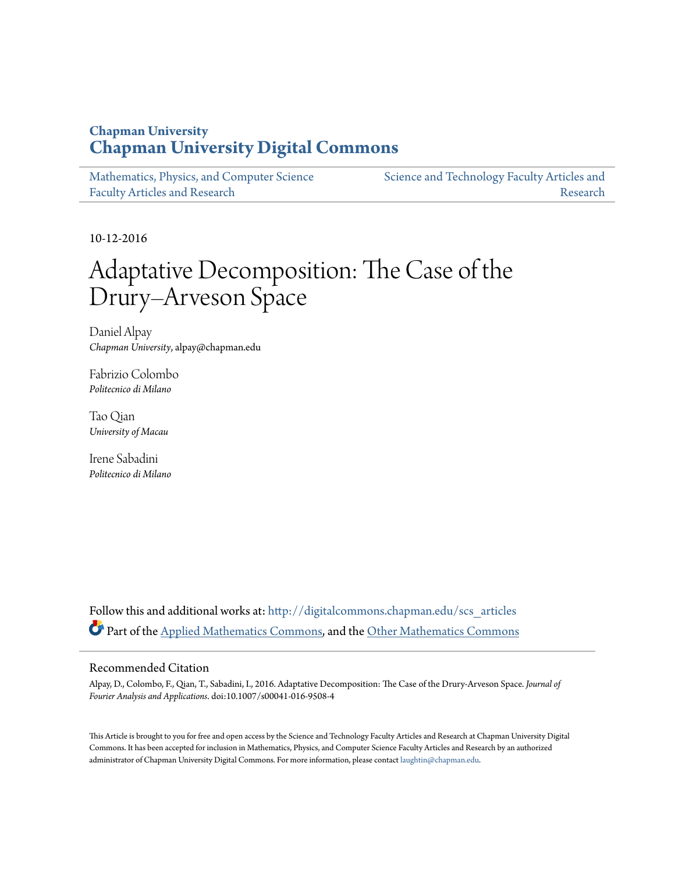# **Chapman University [Chapman University Digital Commons](http://digitalcommons.chapman.edu?utm_source=digitalcommons.chapman.edu%2Fscs_articles%2F497&utm_medium=PDF&utm_campaign=PDFCoverPages)**

| Mathematics, Physics, and Computer Science | Science and Technology Faculty Articles and |
|--------------------------------------------|---------------------------------------------|
| <b>Faculty Articles and Research</b>       | Research                                    |

10-12-2016

# Adaptative Decomposition: The Case of the Drury–Arveson Space

Daniel Alpay *Chapman University*, alpay@chapman.edu

Fabrizio Colombo *Politecnico di Milano*

Tao Qian *University of Macau*

Irene Sabadini *Politecnico di Milano*

Follow this and additional works at: [http://digitalcommons.chapman.edu/scs\\_articles](http://digitalcommons.chapman.edu/scs_articles?utm_source=digitalcommons.chapman.edu%2Fscs_articles%2F497&utm_medium=PDF&utm_campaign=PDFCoverPages) Part of the [Applied Mathematics Commons](http://network.bepress.com/hgg/discipline/115?utm_source=digitalcommons.chapman.edu%2Fscs_articles%2F497&utm_medium=PDF&utm_campaign=PDFCoverPages), and the [Other Mathematics Commons](http://network.bepress.com/hgg/discipline/185?utm_source=digitalcommons.chapman.edu%2Fscs_articles%2F497&utm_medium=PDF&utm_campaign=PDFCoverPages)

## Recommended Citation

Alpay, D., Colombo, F., Qian, T., Sabadini, I., 2016. Adaptative Decomposition: The Case of the Drury-Arveson Space. *Journal of Fourier Analysis and Applications*. doi:10.1007/s00041-016-9508-4

This Article is brought to you for free and open access by the Science and Technology Faculty Articles and Research at Chapman University Digital Commons. It has been accepted for inclusion in Mathematics, Physics, and Computer Science Faculty Articles and Research by an authorized administrator of Chapman University Digital Commons. For more information, please contact [laughtin@chapman.edu.](mailto:laughtin@chapman.edu)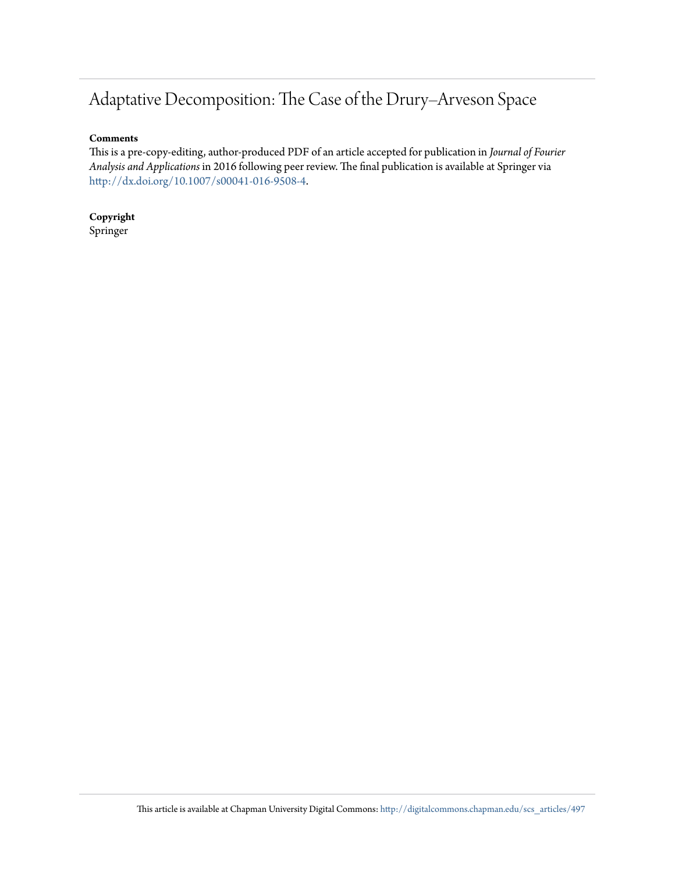# Adaptative Decomposition: The Case of the Drury–Arveson Space

## **Comments**

This is a pre-copy-editing, author-produced PDF of an article accepted for publication in *Journal of Fourier Analysis and Applications* in 2016 following peer review. The final publication is available at Springer via [http://dx.doi.org/10.1007/s00041-016-9508-4.](http://dx.doi.org/10.1007/s00041-016-9508-4)

**Copyright** Springer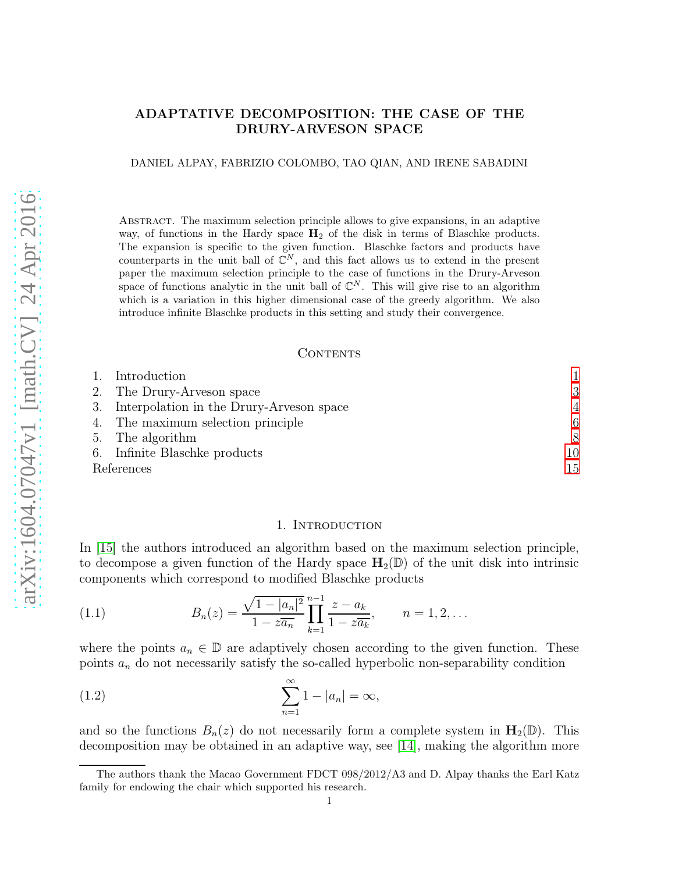## ADAPTATIVE DECOMPOSITION: THE CASE OF THE DRURY-ARVESON SPACE

DANIEL ALPAY, FABRIZIO COLOMBO, TAO QIAN, AND IRENE SABADINI

Abstract. The maximum selection principle allows to give expansions, in an adaptive way, of functions in the Hardy space  $H_2$  of the disk in terms of Blaschke products. The expansion is specific to the given function. Blaschke factors and products have counterparts in the unit ball of  $\mathbb{C}^N$ , and this fact allows us to extend in the present paper the maximum selection principle to the case of functions in the Drury-Arveson space of functions analytic in the unit ball of  $\mathbb{C}^N$ . This will give rise to an algorithm which is a variation in this higher dimensional case of the greedy algorithm. We also introduce infinite Blaschke products in this setting and study their convergence.

#### **CONTENTS**

| 1. Introduction                             |                |
|---------------------------------------------|----------------|
| 2. The Drury-Arveson space                  | 3              |
| 3. Interpolation in the Drury-Arveson space | $\overline{4}$ |
| 4. The maximum selection principle          | 6              |
| 5. The algorithm                            | 8              |
| 6. Infinite Blaschke products               | 10             |
| References                                  | 15             |

#### <span id="page-2-1"></span>1. Introduction

<span id="page-2-0"></span>In [\[15\]](#page-17-0) the authors introduced an algorithm based on the maximum selection principle, to decompose a given function of the Hardy space  $H_2(\mathbb{D})$  of the unit disk into intrinsic components which correspond to modified Blaschke products

(1.1) 
$$
B_n(z) = \frac{\sqrt{1-|a_n|^2}}{1-z\overline{a_n}} \prod_{k=1}^{n-1} \frac{z-a_k}{1-z\overline{a_k}}, \qquad n=1,2,\ldots
$$

where the points  $a_n \in \mathbb{D}$  are adaptively chosen according to the given function. These points  $a_n$  do not necessarily satisfy the so-called hyperbolic non-separability condition

$$
\sum_{n=1}^{\infty} 1 - |a_n| = \infty,
$$

and so the functions  $B_n(z)$  do not necessarily form a complete system in  $\mathbf{H}_2(\mathbb{D})$ . This decomposition may be obtained in an adaptive way, see [\[14\]](#page-17-1), making the algorithm more

The authors thank the Macao Government FDCT 098/2012/A3 and D. Alpay thanks the Earl Katz family for endowing the chair which supported his research.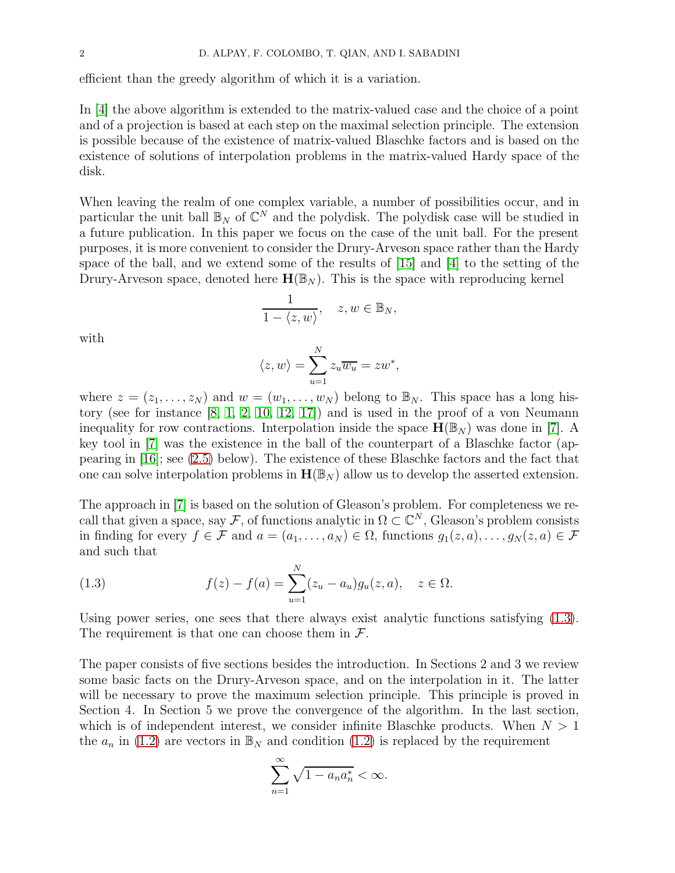efficient than the greedy algorithm of which it is a variation.

In [\[4\]](#page-16-1) the above algorithm is extended to the matrix-valued case and the choice of a point and of a projection is based at each step on the maximal selection principle. The extension is possible because of the existence of matrix-valued Blaschke factors and is based on the existence of solutions of interpolation problems in the matrix-valued Hardy space of the disk.

When leaving the realm of one complex variable, a number of possibilities occur, and in particular the unit ball  $\mathbb{B}_N$  of  $\mathbb{C}^N$  and the polydisk. The polydisk case will be studied in a future publication. In this paper we focus on the case of the unit ball. For the present purposes, it is more convenient to consider the Drury-Arveson space rather than the Hardy space of the ball, and we extend some of the results of [\[15\]](#page-17-0) and [\[4\]](#page-16-1) to the setting of the Drury-Arveson space, denoted here  $\mathbf{H}(\mathbb{B}_N)$ . This is the space with reproducing kernel

$$
\frac{1}{1 - \langle z, w \rangle}, \quad z, w \in \mathbb{B}_N,
$$

with

$$
\langle z, w \rangle = \sum_{u=1}^{N} z_u \overline{w_u} = z w^*,
$$

where  $z = (z_1, \ldots, z_N)$  and  $w = (w_1, \ldots, w_N)$  belong to  $\mathbb{B}_N$ . This space has a long history (see for instance [\[8,](#page-17-2) [1,](#page-16-2) [2,](#page-16-3) [10,](#page-17-3) [12,](#page-17-4) [17\]](#page-17-5)) and is used in the proof of a von Neumann inequality for row contractions. Interpolation inside the space  $\mathbf{H}(\mathbb{B}_{N})$  was done in [\[7\]](#page-17-6). A key tool in [\[7\]](#page-17-6) was the existence in the ball of the counterpart of a Blaschke factor (appearing in [\[16\]](#page-17-7); see [\(2.5\)](#page-4-1) below). The existence of these Blaschke factors and the fact that one can solve interpolation problems in  $H(\mathbb{B}_N)$  allow us to develop the asserted extension.

The approach in [\[7\]](#page-17-6) is based on the solution of Gleason's problem. For completeness we recall that given a space, say F, of functions analytic in  $\Omega \subset \mathbb{C}^N$ , Gleason's problem consists in finding for every  $f \in \mathcal{F}$  and  $a = (a_1, \ldots, a_N) \in \Omega$ , functions  $g_1(z, a), \ldots, g_N(z, a) \in \mathcal{F}$ and such that

<span id="page-3-0"></span>(1.3) 
$$
f(z) - f(a) = \sum_{u=1}^{N} (z_u - a_u) g_u(z, a), \quad z \in \Omega.
$$

Using power series, one sees that there always exist analytic functions satisfying [\(1.3\)](#page-3-0). The requirement is that one can choose them in  $\mathcal{F}$ .

The paper consists of five sections besides the introduction. In Sections 2 and 3 we review some basic facts on the Drury-Arveson space, and on the interpolation in it. The latter will be necessary to prove the maximum selection principle. This principle is proved in Section 4. In Section 5 we prove the convergence of the algorithm. In the last section, which is of independent interest, we consider infinite Blaschke products. When  $N > 1$ the  $a_n$  in [\(1.2\)](#page-2-1) are vectors in  $\mathbb{B}_N$  and condition (1.2) is replaced by the requirement

$$
\sum_{n=1}^{\infty} \sqrt{1 - a_n a_n^*} < \infty.
$$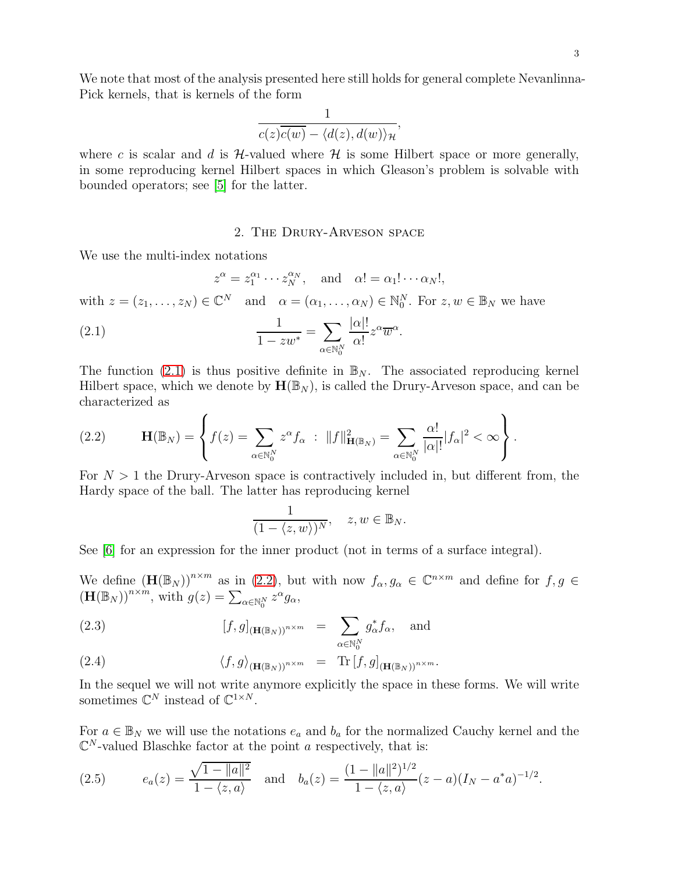We note that most of the analysis presented here still holds for general complete Nevanlinna-Pick kernels, that is kernels of the form

$$
\frac{1}{c(z)\overline{c(w)} - \langle d(z), d(w) \rangle_{\mathcal{H}}},
$$

where c is scalar and d is  $H$ -valued where  $H$  is some Hilbert space or more generally, in some reproducing kernel Hilbert spaces in which Gleason's problem is solvable with bounded operators; see [\[5\]](#page-16-4) for the latter.

#### <span id="page-4-2"></span>2. The Drury-Arveson space

<span id="page-4-0"></span>We use the multi-index notations

$$
z^{\alpha} = z_1^{\alpha_1} \cdots z_N^{\alpha_N}, \text{ and } \alpha! = \alpha_1! \cdots \alpha_N!,
$$
  
with  $z = (z_1, \dots, z_N) \in \mathbb{C}^N$  and  $\alpha = (\alpha_1, \dots, \alpha_N) \in \mathbb{N}_0^N$ . For  $z, w \in \mathbb{B}_N$  we have  
(2.1) 
$$
\frac{1}{1 - zw^*} = \sum_{\alpha \in \mathbb{N}_0^N} \frac{|\alpha|!}{\alpha!} z^{\alpha} \overline{w}^{\alpha}.
$$

The function [\(2.1\)](#page-4-2) is thus positive definite in  $\mathbb{B}_N$ . The associated reproducing kernel Hilbert space, which we denote by  $\mathbf{H}(\mathbb{B}_N)$ , is called the Drury-Arveson space, and can be characterized as

<span id="page-4-3"></span>(2.2) 
$$
\mathbf{H}(\mathbb{B}_N) = \left\{ f(z) = \sum_{\alpha \in \mathbb{N}_0^N} z^{\alpha} f_{\alpha} : ||f||^2_{\mathbf{H}(\mathbb{B}_N)} = \sum_{\alpha \in \mathbb{N}_0^N} \frac{\alpha!}{|\alpha|!} |f_{\alpha}|^2 < \infty \right\}.
$$

For  $N > 1$  the Drury-Arveson space is contractively included in, but different from, the Hardy space of the ball. The latter has reproducing kernel

$$
\frac{1}{(1 - \langle z, w \rangle)^N}, \quad z, w \in \mathbb{B}_N.
$$

See [\[6\]](#page-17-8) for an expression for the inner product (not in terms of a surface integral).

We define  $(\mathbf{H}(\mathbb{B}_N))^{n \times m}$  as in [\(2.2\)](#page-4-3), but with now  $f_\alpha, g_\alpha \in \mathbb{C}^{n \times m}$  and define for  $f, g \in$  $(\mathbf{H}(\mathbb{B}_N))^{n \times m}$ , with  $g(z) = \sum_{\alpha \in \mathbb{N}_0^N} z^{\alpha} g_{\alpha}$ ,

(2.3) 
$$
[f,g]_{(\mathbf{H}(\mathbb{B}_N))^{n \times m}} = \sum_{\alpha \in \mathbb{N}_0^N} g_{\alpha}^* f_{\alpha}, \text{ and}
$$

(2.4) 
$$
\langle f, g \rangle_{(\mathbf{H}(\mathbb{B}_N))^{n \times m}} = \mathrm{Tr} [f, g]_{(\mathbf{H}(\mathbb{B}_N))^{n \times m}}.
$$

In the sequel we will not write anymore explicitly the space in these forms. We will write sometimes  $\mathbb{C}^N$  instead of  $\mathbb{C}^{1 \times N}$ .

For  $a \in \mathbb{B}_N$  we will use the notations  $e_a$  and  $b_a$  for the normalized Cauchy kernel and the  $\mathbb{C}^N$ -valued Blaschke factor at the point a respectively, that is:

<span id="page-4-1"></span>(2.5) 
$$
e_a(z) = \frac{\sqrt{1 - ||a||^2}}{1 - \langle z, a \rangle} \text{ and } b_a(z) = \frac{(1 - ||a||^2)^{1/2}}{1 - \langle z, a \rangle} (z - a)(I_N - a^* a)^{-1/2}.
$$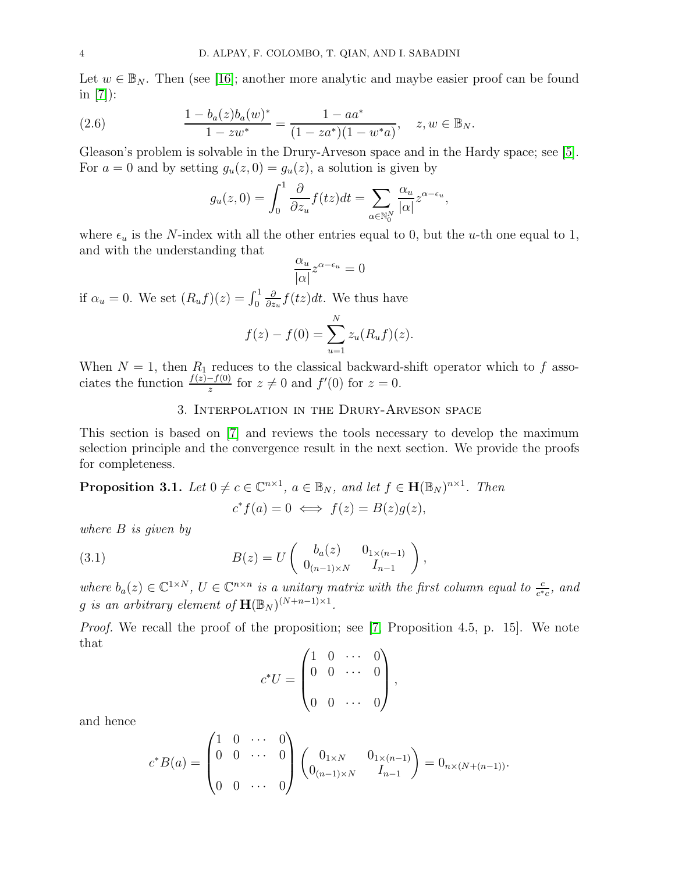Let  $w \in \mathbb{B}_N$ . Then (see [\[16\]](#page-17-7); another more analytic and maybe easier proof can be found in [\[7\]](#page-17-6)):

(2.6) 
$$
\frac{1 - b_a(z)b_a(w)^*}{1 - zw^*} = \frac{1 - aa^*}{(1 - za^*)(1 - w^*a)}, \quad z, w \in \mathbb{B}_N.
$$

Gleason's problem is solvable in the Drury-Arveson space and in the Hardy space; see [\[5\]](#page-16-4). For  $a = 0$  and by setting  $g_u(z, 0) = g_u(z)$ , a solution is given by

$$
g_u(z,0) = \int_0^1 \frac{\partial}{\partial z_u} f(tz) dt = \sum_{\alpha \in \mathbb{N}_0^N} \frac{\alpha_u}{|\alpha|} z^{\alpha - \epsilon_u},
$$

where  $\epsilon_u$  is the N-index with all the other entries equal to 0, but the u-th one equal to 1, and with the understanding that

$$
\frac{\alpha_u}{|\alpha|} z^{\alpha - \epsilon_u} = 0
$$

if  $\alpha_u = 0$ . We set  $(R_u f)(z) = \int_0^1$ ∂  $\frac{\partial}{\partial z_u} f(tz)dt$ . We thus have

$$
f(z) - f(0) = \sum_{u=1}^{N} z_u (R_u f)(z).
$$

<span id="page-5-0"></span>When  $N = 1$ , then  $R_1$  reduces to the classical backward-shift operator which to f associates the function  $\frac{f(z)-f(0)}{z}$  for  $z \neq 0$  and  $f'(0)$  for  $z = 0$ .

#### 3. Interpolation in the Drury-Arveson space

This section is based on [\[7\]](#page-17-6) and reviews the tools necessary to develop the maximum selection principle and the convergence result in the next section. We provide the proofs for completeness.

<span id="page-5-2"></span>**Proposition 3.1.** Let  $0 \neq c \in \mathbb{C}^{n \times 1}$ ,  $a \in \mathbb{B}_N$ , and let  $f \in \mathbf{H}(\mathbb{B}_N)^{n \times 1}$ . Then

<span id="page-5-1"></span>
$$
c^* f(a) = 0 \iff f(z) = B(z)g(z),
$$

where B is given by

(3.1) 
$$
B(z) = U \begin{pmatrix} b_a(z) & 0_{1 \times (n-1)} \\ 0_{(n-1) \times N} & I_{n-1} \end{pmatrix},
$$

where  $b_a(z) \in \mathbb{C}^{1 \times N}$ ,  $U \in \mathbb{C}^{n \times n}$  is a unitary matrix with the first column equal to  $\frac{c}{c^*c}$ , and g is an arbitrary element of  $\mathbf{H}(\mathbb{B}_N)^{(N+n-1)\times 1}$ .

Proof. We recall the proof of the proposition; see [\[7,](#page-17-6) Proposition 4.5, p. 15]. We note that

$$
c^*U = \begin{pmatrix} 1 & 0 & \cdots & 0 \\ 0 & 0 & \cdots & 0 \\ 0 & 0 & \cdots & 0 \end{pmatrix},
$$

and hence

$$
c^*B(a) = \begin{pmatrix} 1 & 0 & \cdots & 0 \\ 0 & 0 & \cdots & 0 \\ 0 & 0 & \cdots & 0 \end{pmatrix} \begin{pmatrix} 0_{1 \times N} & 0_{1 \times (n-1)} \\ 0_{(n-1) \times N} & I_{n-1} \end{pmatrix} = 0_{n \times (N + (n-1))}.
$$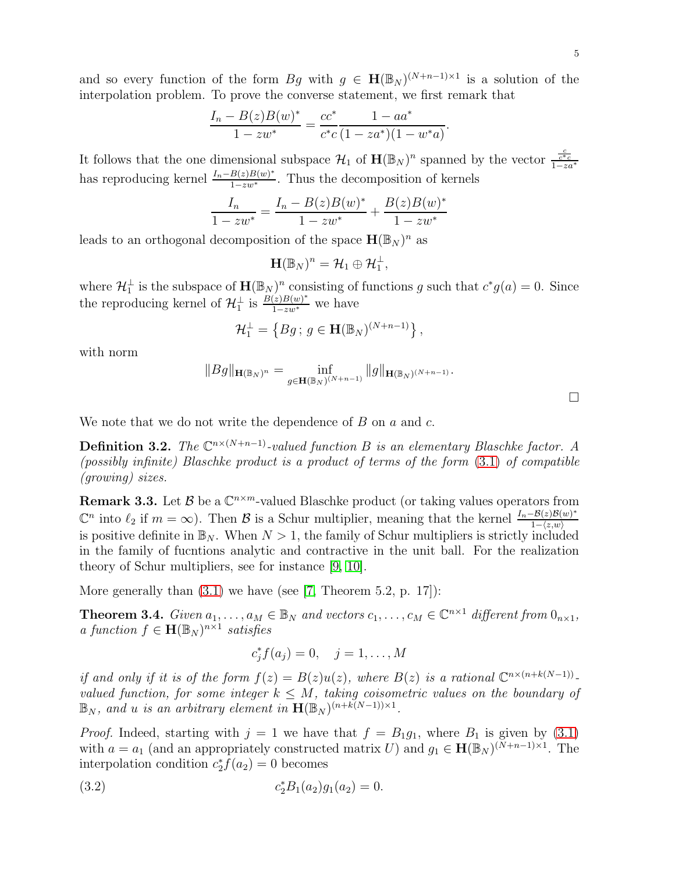and so every function of the form  $Bg$  with  $g \in \mathbf{H}(\mathbb{B}_N)^{(N+n-1)\times 1}$  is a solution of the interpolation problem. To prove the converse statement, we first remark that

$$
\frac{I_n - B(z)B(w)^*}{1 - zw^*} = \frac{cc^*}{c^*c} \frac{1 - aa^*}{(1 - za^*)(1 - w^*a)}.
$$

It follows that the one dimensional subspace  $\mathcal{H}_1$  of  $\mathbf{H}(\mathbb{B}_N)^n$  spanned by the vector  $\frac{c}{1-za^*}$ has reproducing kernel  $\frac{I_n - B(z)B(w)^*}{1 - zw^*}$  $\frac{B(z)B(w)}{1-zw^*}$ . Thus the decomposition of kernels

$$
\frac{I_n}{1 - zw^*} = \frac{I_n - B(z)B(w)^*}{1 - zw^*} + \frac{B(z)B(w)^*}{1 - zw^*}
$$

leads to an orthogonal decomposition of the space  $\mathbf{H}(\mathbb{B}_N)^n$  as

$$
\mathbf{H}(\mathbb{B}_N)^n = \mathcal{H}_1 \oplus \mathcal{H}_1^{\perp},
$$

where  $\mathcal{H}_1^{\perp}$  is the subspace of  $\mathbf{H}(\mathbb{B}_N)^n$  consisting of functions g such that  $c^*g(a) = 0$ . Since the reproducing kernel of  $\mathcal{H}_1^{\perp}$  is  $\frac{B(z)B(w)^{*}}{1-zw^{*}}$  we have

$$
\mathcal{H}_1^{\perp} = \left\{ Bg \, ; \, g \in \mathbf{H}(\mathbb{B}_N)^{(N+n-1)} \right\},\,
$$

with norm

$$
||Bg||_{\mathbf{H}(\mathbb{B}_N)^n} = \inf_{g \in \mathbf{H}(\mathbb{B}_N)^{(N+n-1)}} ||g||_{\mathbf{H}(\mathbb{B}_N)^{(N+n-1)}}.
$$

We note that we do not write the dependence of  $B$  on  $a$  and  $c$ .

**Definition 3.2.** The  $\mathbb{C}^{n \times (N+n-1)}$ -valued function B is an elementary Blaschke factor. A (possibly infinite) Blaschke product is a product of terms of the form [\(3.1\)](#page-5-1) of compatible (growing) sizes.

**Remark 3.3.** Let  $\mathcal{B}$  be a  $\mathbb{C}^{n \times m}$ -valued Blaschke product (or taking values operators from  $\mathbb{C}^n$  into  $\ell_2$  if  $m = \infty$ ). Then  $\mathcal B$  is a Schur multiplier, meaning that the kernel  $\frac{I_n - \mathcal B(z)\mathcal B(w)^*}{1 - \langle z,w \rangle}$  $1-\langle z,w\rangle$ is positive definite in  $\mathbb{B}_N$ . When  $N > 1$ , the family of Schur multipliers is strictly included in the family of fucntions analytic and contractive in the unit ball. For the realization theory of Schur multipliers, see for instance [\[9,](#page-17-9) [10\]](#page-17-3).

More generally than  $(3.1)$  we have (see [\[7,](#page-17-6) Theorem 5.2, p. 17]):

<span id="page-6-1"></span>**Theorem 3.4.** Given  $a_1, \ldots, a_M \in \mathbb{B}_N$  and vectors  $c_1, \ldots, c_M \in \mathbb{C}^{n \times 1}$  different from  $0_{n \times 1}$ , a function  $f \in \mathbf{H}(\mathbb{B}_N)^{n \times 1}$  satisfies

<span id="page-6-0"></span>
$$
c_j^* f(a_j) = 0, \quad j = 1, \dots, M
$$

if and only if it is of the form  $f(z) = B(z)u(z)$ , where  $B(z)$  is a rational  $\mathbb{C}^{n \times (n+k(N-1))}$ . valued function, for some integer  $k \leq M$ , taking coisometric values on the boundary of  $\mathbb{B}_N$ , and u is an arbitrary element in  $\mathbf{H}(\mathbb{B}_N)^{(n+k(N-1))\times 1}$ .

*Proof.* Indeed, starting with  $j = 1$  we have that  $f = B_1g_1$ , where  $B_1$  is given by [\(3.1\)](#page-5-1) with  $a = a_1$  (and an appropriately constructed matrix U) and  $g_1 \in \mathbf{H}(\mathbb{B}_N)^{(N+n-1)\times 1}$ . The interpolation condition  $c_2^* f(a_2) = 0$  becomes

(3.2) 
$$
c_2^* B_1(a_2) g_1(a_2) = 0.
$$

 $\Box$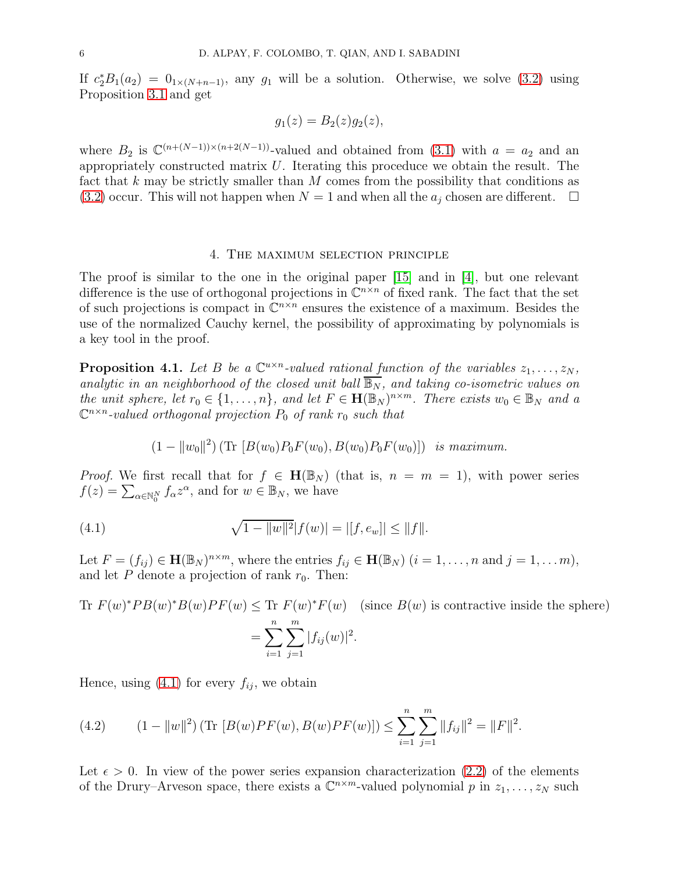If  $c_2^*B_1(a_2) = 0_{1 \times (N+n-1)}$ , any  $g_1$  will be a solution. Otherwise, we solve [\(3.2\)](#page-6-0) using Proposition [3.1](#page-5-2) and get

$$
g_1(z) = B_2(z)g_2(z),
$$

where  $B_2$  is  $\mathbb{C}^{(n+(N-1))\times(n+2(N-1))}$ -valued and obtained from [\(3.1\)](#page-5-1) with  $a = a_2$  and an appropriately constructed matrix  $U$ . Iterating this proceduce we obtain the result. The fact that  $k$  may be strictly smaller than  $M$  comes from the possibility that conditions as  $(3.2)$  occur. This will not happen when  $N = 1$  and when all the  $a_i$  chosen are different.  $\Box$ 

#### 4. The maximum selection principle

<span id="page-7-0"></span>The proof is similar to the one in the original paper [\[15\]](#page-17-0) and in [\[4\]](#page-16-1), but one relevant difference is the use of orthogonal projections in  $\mathbb{C}^{n \times n}$  of fixed rank. The fact that the set of such projections is compact in  $\mathbb{C}^{n \times n}$  ensures the existence of a maximum. Besides the use of the normalized Cauchy kernel, the possibility of approximating by polynomials is a key tool in the proof.

<span id="page-7-2"></span>**Proposition 4.1.** Let B be a  $\mathbb{C}^{u \times n}$ -valued rational function of the variables  $z_1, \ldots, z_N$ , analytic in an neighborhood of the closed unit ball  $\overline{\mathbb{B}_N}$ , and taking co-isometric values on the unit sphere, let  $r_0 \in \{1, \ldots, n\}$ , and let  $F \in \mathbf{H}(\mathbb{B}_N)^{n \times m}$ . There exists  $w_0 \in \mathbb{B}_N$  and a  $\mathbb{C}^{n \times n}$ -valued orthogonal projection  $P_0$  of rank  $r_0$  such that

<span id="page-7-1"></span>
$$
(1 - ||w_0||^2) (\text{Tr } [B(w_0)P_0F(w_0), B(w_0)P_0F(w_0)]) \text{ is maximum.}
$$

*Proof.* We first recall that for  $f \in H(\mathbb{B}_N)$  (that is,  $n = m = 1$ ), with power series  $f(z) = \sum_{\alpha \in \mathbb{N}_0^N} f_{\alpha} z^{\alpha}$ , and for  $w \in \mathbb{B}_N$ , we have

(4.1) 
$$
\sqrt{1 - ||w||^2} |f(w)| = |[f, e_w]| \le ||f||.
$$

Let  $F = (f_{ij}) \in \mathbf{H}(\mathbb{B}_N)^{n \times m}$ , where the entries  $f_{ij} \in \mathbf{H}(\mathbb{B}_N)$   $(i = 1, \ldots, n$  and  $j = 1, \ldots, m)$ , and let  $P$  denote a projection of rank  $r_0$ . Then:

Tr 
$$
F(w)^*PB(w)^*B(w)PF(w) \leq
$$
Tr  $F(w)^*F(w)$  (since  $B(w)$  is contractive inside the sphere)  
= 
$$
\sum_{i=1}^n \sum_{j=1}^m |f_{ij}(w)|^2.
$$

Hence, using  $(4.1)$  for every  $f_{ij}$ , we obtain

(4.2) 
$$
(1 - ||w||^2) (\text{Tr } [B(w)PF(w), B(w)PF(w)]) \leq \sum_{i=1}^n \sum_{j=1}^m ||f_{ij}||^2 = ||F||^2.
$$

Let  $\epsilon > 0$ . In view of the power series expansion characterization [\(2.2\)](#page-4-3) of the elements of the Drury–Arveson space, there exists a  $\mathbb{C}^{n \times m}$ -valued polynomial p in  $z_1, \ldots, z_N$  such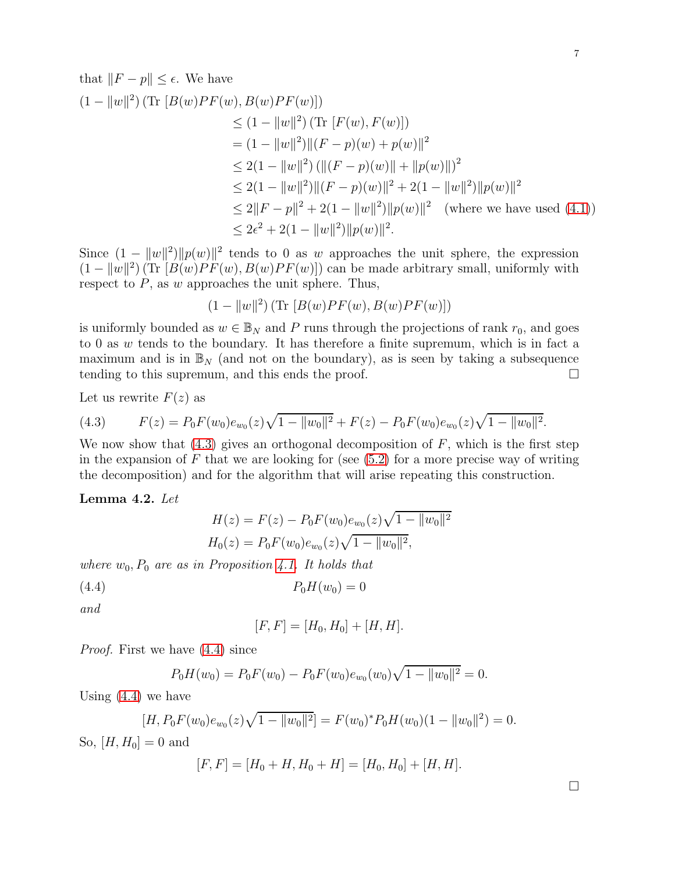that 
$$
||F - p|| \le \epsilon
$$
. We have  
\n
$$
(1 - ||w||^2) (\text{Tr } [B(w)PF(w), B(w)PF(w)])
$$
\n
$$
\le (1 - ||w||^2) (\text{Tr } [F(w), F(w)])
$$
\n
$$
= (1 - ||w||^2) ||(F - p)(w) + p(w)||^2
$$
\n
$$
\le 2(1 - ||w||^2) (||(F - p)(w)|| + ||p(w)||)^2
$$
\n
$$
\le 2(1 - ||w||^2) ||(F - p)(w)||^2 + 2(1 - ||w||^2) ||p(w)||^2
$$
\n
$$
\le 2||F - p||^2 + 2(1 - ||w||^2) ||p(w)||^2 \quad \text{(where we have used (4.1))}
$$
\n
$$
\le 2\epsilon^2 + 2(1 - ||w||^2) ||p(w)||^2.
$$

Since  $(1 - ||w||^2) ||p(w)||^2$  tends to 0 as w approaches the unit sphere, the expression  $(1 - ||w||^2)$  (Tr  $[B(w)PF(w), B(w)PF(w)]$ ) can be made arbitrary small, uniformly with respect to  $P$ , as  $w$  approaches the unit sphere. Thus,

$$
(1-\|w\|^2)\left(\text{Tr}\ [B(w)PF(w),B(w)PF(w)]\right)
$$

is uniformly bounded as  $w \in \mathbb{B}_N$  and P runs through the projections of rank  $r_0$ , and goes to 0 as  $w$  tends to the boundary. It has therefore a finite supremum, which is in fact a maximum and is in  $\mathbb{B}_N$  (and not on the boundary), as is seen by taking a subsequence tending to this supremum, and this ends the proof.  $\Box$ 

Let us rewrite  $F(z)$  as

<span id="page-8-0"></span>(4.3) 
$$
F(z) = P_0 F(w_0) e_{w_0}(z) \sqrt{1 - ||w_0||^2} + F(z) - P_0 F(w_0) e_{w_0}(z) \sqrt{1 - ||w_0||^2}.
$$

We now show that  $(4.3)$  gives an orthogonal decomposition of F, which is the first step in the expansion of  $F$  that we are looking for (see  $(5.2)$  for a more precise way of writing the decomposition) and for the algorithm that will arise repeating this construction.

Lemma 4.2. Let

$$
H(z) = F(z) - P_0 F(w_0) e_{w_0}(z) \sqrt{1 - ||w_0||^2}
$$
  

$$
H_0(z) = P_0 F(w_0) e_{w_0}(z) \sqrt{1 - ||w_0||^2},
$$

where  $w_0$ ,  $P_0$  are as in Proposition [4.1.](#page-7-2) It holds that

$$
(4.4) \t\t P_0H(w_0) = 0
$$

and

<span id="page-8-1"></span>
$$
[F,F] = [H_0, H_0] + [H, H].
$$

Proof. First we have [\(4.4\)](#page-8-1) since

$$
P_0H(w_0) = P_0F(w_0) - P_0F(w_0)e_{w_0}(w_0)\sqrt{1 - ||w_0||^2} = 0.
$$

Using  $(4.4)$  we have

$$
[H, P_0 F(w_0) e_{w_0}(z) \sqrt{1 - ||w_0||^2}] = F(w_0)^* P_0 H(w_0) (1 - ||w_0||^2) = 0.
$$

So,  $[H, H_0] = 0$  and

$$
[F, F] = [H_0 + H, H_0 + H] = [H_0, H_0] + [H, H].
$$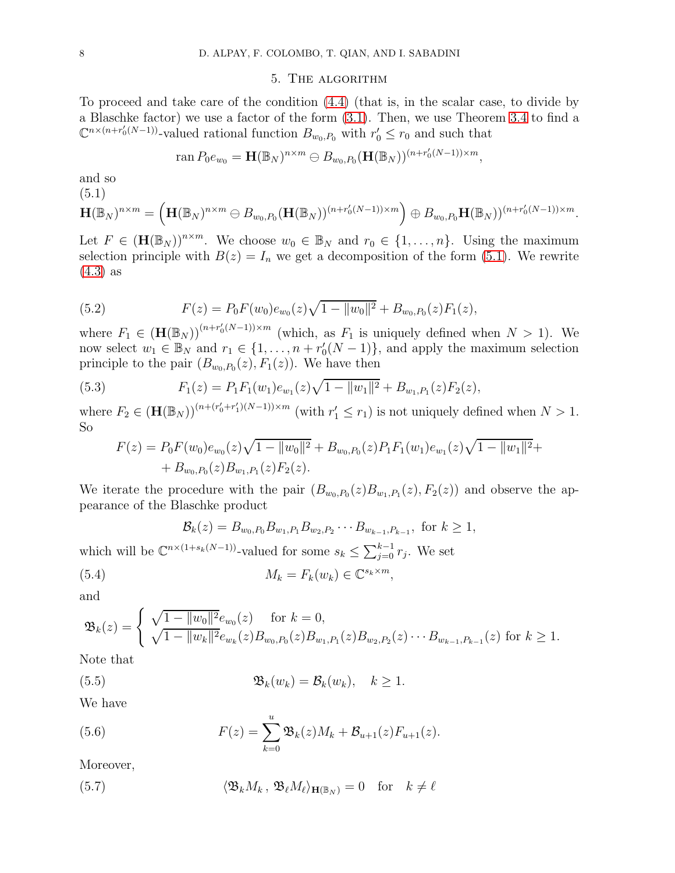#### 5. The algorithm

<span id="page-9-0"></span>To proceed and take care of the condition [\(4.4\)](#page-8-1) (that is, in the scalar case, to divide by a Blaschke factor) we use a factor of the form [\(3.1\)](#page-5-1). Then, we use Theorem [3.4](#page-6-1) to find a  $\mathbb{C}^{n \times (n+r'_0(N-1))}$ -valued rational function  $B_{w_0,P_0}$  with  $r'_0 \leq r_0$  and such that

$$
\operatorname{ran} P_0 e_{w_0} = \mathbf{H}(\mathbb{B}_N)^{n \times m} \ominus B_{w_0, P_0}(\mathbf{H}(\mathbb{B}_N))^{(n+r'_0(N-1)) \times m},
$$

and so

<span id="page-9-2"></span>
$$
(5.1)
$$

$$
\mathbf{H}(\mathbb{B}_N)^{n \times m} = \left(\mathbf{H}(\mathbb{B}_N)^{n \times m} \ominus B_{w_0, P_0}(\mathbf{H}(\mathbb{B}_N))^{(n+r'_0(N-1)) \times m}\right) \oplus B_{w_0, P_0} \mathbf{H}(\mathbb{B}_N))^{(n+r'_0(N-1)) \times m}.
$$

Let  $F \in (\mathbf{H}(\mathbb{B}_N))^{n \times m}$ . We choose  $w_0 \in \mathbb{B}_N$  and  $r_0 \in \{1, \ldots, n\}$ . Using the maximum selection principle with  $B(z) = I_n$  we get a decomposition of the form [\(5.1\)](#page-9-2). We rewrite [\(4.3\)](#page-8-0) as

<span id="page-9-1"></span>(5.2) 
$$
F(z) = P_0 F(w_0) e_{w_0}(z) \sqrt{1 - ||w_0||^2} + B_{w_0, P_0}(z) F_1(z),
$$

where  $F_1 \in (\mathbf{H}(\mathbb{B}_N))^{(n+r_0'(N-1))\times m}$  (which, as  $F_1$  is uniquely defined when  $N > 1$ ). We now select  $w_1 \in \mathbb{B}_N$  and  $r_1 \in \{1, \ldots, n + r'_0(N-1)\}\)$ , and apply the maximum selection principle to the pair  $(B_{w_0, P_0}(z), F_1(z))$ . We have then

(5.3) 
$$
F_1(z) = P_1 F_1(w_1) e_{w_1}(z) \sqrt{1 - ||w_1||^2} + B_{w_1, P_1}(z) F_2(z),
$$

where  $F_2 \in (\mathbf{H}(\mathbb{B}_N))^{(n + (r'_0 + r'_1)(N-1)) \times m}$  (with  $r'_1 \leq r_1$ ) is not uniquely defined when  $N > 1$ . So

$$
F(z) = P_0 F(w_0) e_{w_0}(z) \sqrt{1 - ||w_0||^2} + B_{w_0, P_0}(z) P_1 F_1(w_1) e_{w_1}(z) \sqrt{1 - ||w_1||^2} + B_{w_0, P_0}(z) B_{w_1, P_1}(z) F_2(z).
$$

We iterate the procedure with the pair  $(B_{w_0,P_0}(z)B_{w_1,P_1}(z), F_2(z))$  and observe the appearance of the Blaschke product

<span id="page-9-5"></span>
$$
\mathcal{B}_k(z) = B_{w_0, P_0} B_{w_1, P_1} B_{w_2, P_2} \cdots B_{w_{k-1}, P_{k-1}}, \text{ for } k \ge 1,
$$

which will be  $\mathbb{C}^{n \times (1+s_k(N-1))}$ -valued for some  $s_k \leq \sum_{j=0}^{k-1} r_j$ . We set (5.4)  $M_k = F_k(w_k) \in \mathbb{C}^{s_k \times m},$ 

$$
^{(3.4)}
$$

and

$$
\mathfrak{B}_k(z) = \begin{cases} \sqrt{1 - \|w_0\|^2} e_{w_0}(z) & \text{for } k = 0, \\ \sqrt{1 - \|w_k\|^2} e_{w_k}(z) B_{w_0, P_0}(z) B_{w_1, P_1}(z) B_{w_2, P_2}(z) \cdots B_{w_{k-1}, P_{k-1}}(z) & \text{for } k \ge 1. \end{cases}
$$

Note that

(5.5) 
$$
\mathfrak{B}_k(w_k) = \mathcal{B}_k(w_k), \quad k \geq 1.
$$

We have

<span id="page-9-3"></span>(5.6) 
$$
F(z) = \sum_{k=0}^{u} \mathfrak{B}_k(z) M_k + \mathcal{B}_{u+1}(z) F_{u+1}(z).
$$

Moreover,

<span id="page-9-4"></span>(5.7) 
$$
\langle \mathfrak{B}_k M_k, \, \mathfrak{B}_\ell M_\ell \rangle_{\mathbf{H}(\mathbb{B}_N)} = 0 \quad \text{for} \quad k \neq \ell
$$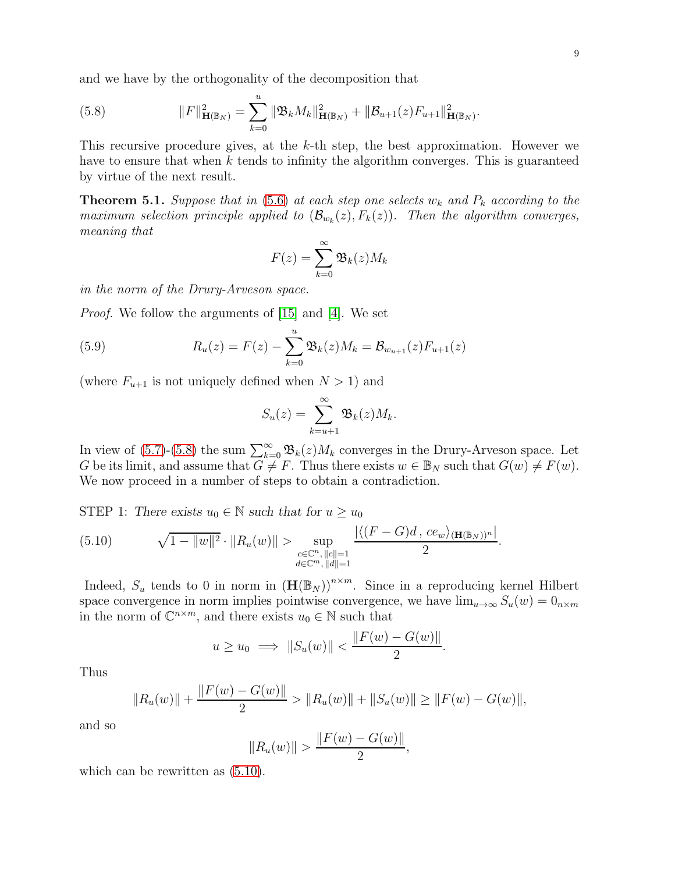and we have by the orthogonality of the decomposition that

<span id="page-10-0"></span>(5.8) 
$$
||F||_{\mathbf{H}(\mathbb{B}_N)}^2 = \sum_{k=0}^u ||\mathfrak{B}_k M_k||_{\mathbf{H}(\mathbb{B}_N)}^2 + ||\mathcal{B}_{u+1}(z) F_{u+1}||_{\mathbf{H}(\mathbb{B}_N)}^2.
$$

This recursive procedure gives, at the k-th step, the best approximation. However we have to ensure that when  $k$  tends to infinity the algorithm converges. This is guaranteed by virtue of the next result.

**Theorem 5.1.** Suppose that in [\(5.6\)](#page-9-3) at each step one selects  $w_k$  and  $P_k$  according to the maximum selection principle applied to  $(\mathcal{B}_{w_k}(z), F_k(z))$ . Then the algorithm converges, meaning that

$$
F(z) = \sum_{k=0}^{\infty} \mathfrak{B}_k(z) M_k
$$

in the norm of the Drury-Arveson space.

*Proof.* We follow the arguments of [\[15\]](#page-17-0) and [\[4\]](#page-16-1). We set

(5.9) 
$$
R_u(z) = F(z) - \sum_{k=0}^{u} \mathfrak{B}_k(z) M_k = \mathcal{B}_{w_{u+1}}(z) F_{u+1}(z)
$$

(where  $F_{u+1}$  is not uniquely defined when  $N > 1$ ) and

$$
S_u(z) = \sum_{k=u+1}^{\infty} \mathfrak{B}_k(z) M_k.
$$

In view of [\(5.7\)](#page-9-4)-[\(5.8\)](#page-10-0) the sum  $\sum_{k=0}^{\infty} \mathfrak{B}_k(z) M_k$  converges in the Drury-Arveson space. Let G be its limit, and assume that  $G \neq F$ . Thus there exists  $w \in \mathbb{B}_N$  such that  $G(w) \neq F(w)$ . We now proceed in a number of steps to obtain a contradiction.

STEP 1: There exists  $u_0 \in \mathbb{N}$  such that for  $u \geq u_0$ 

<span id="page-10-1"></span>(5.10) 
$$
\sqrt{1-\|w\|^2} \cdot \|R_u(w)\| > \sup_{\substack{c \in \mathbb{C}^n, ||c|| = 1 \\ d \in \mathbb{C}^m, ||d|| = 1}} \frac{|\langle (F-G)d, ce_w \rangle_{(\mathbf{H}(\mathbb{B}_N))^n}|}{2}.
$$

Indeed,  $S_u$  tends to 0 in norm in  $(\mathbf{H}(\mathbb{B}_N))^{n \times m}$ . Since in a reproducing kernel Hilbert space convergence in norm implies pointwise convergence, we have  $\lim_{u\to\infty} S_u(w) = 0_{n\times m}$ in the norm of  $\mathbb{C}^{n \times m}$ , and there exists  $u_0 \in \mathbb{N}$  such that

$$
u \ge u_0 \implies ||S_u(w)|| < \frac{||F(w) - G(w)||}{2}.
$$

Thus

$$
||R_u(w)|| + \frac{||F(w) - G(w)||}{2} > ||R_u(w)|| + ||S_u(w)|| \ge ||F(w) - G(w)||,
$$

and so

$$
||R_u(w)|| > \frac{||F(w) - G(w)||}{2},
$$

which can be rewritten as  $(5.10)$ .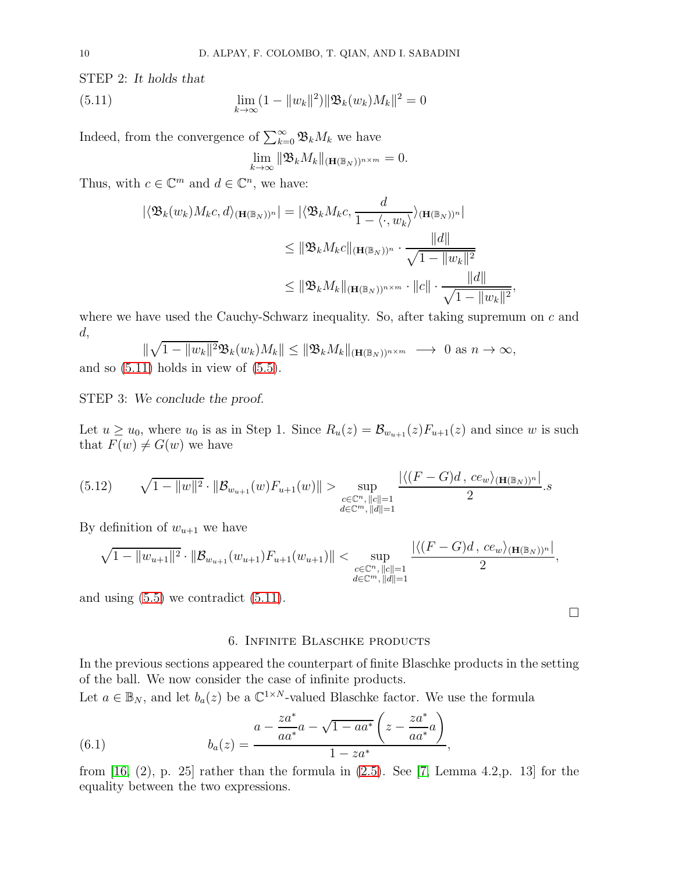STEP 2: *It holds that*

(5.11) 
$$
\lim_{k \to \infty} (1 - ||w_k||^2) ||\mathfrak{B}_k(w_k) M_k||^2 = 0
$$

Indeed, from the convergence of  $\sum_{k=0}^{\infty} \mathfrak{B}_k M_k$  we have

<span id="page-11-1"></span>
$$
\lim_{k\to\infty}\|\mathfrak{B}_kM_k\|_{(\mathbf{H}(\mathbb{B}_N))^{n\times m}}=0.
$$

Thus, with  $c \in \mathbb{C}^m$  and  $d \in \mathbb{C}^n$ , we have:

$$
\begin{aligned} |\langle \mathfrak{B}_{k}(w_{k})M_{k}c,d\rangle_{(\mathbf{H}(\mathbb{B}_{N}))^{n}}| &= |\langle \mathfrak{B}_{k}M_{k}c,\frac{d}{1-\langle \cdot,w_{k}\rangle}\rangle_{(\mathbf{H}(\mathbb{B}_{N}))^{n}}| \\ &\leq \|\mathfrak{B}_{k}M_{k}c\|_{(\mathbf{H}(\mathbb{B}_{N}))^{n}} \cdot \frac{\|d\|}{\sqrt{1-\|w_{k}\|^{2}}} \\ &\leq \|\mathfrak{B}_{k}M_{k}\|_{(\mathbf{H}(\mathbb{B}_{N}))^{n\times m}} \cdot \|c\| \cdot \frac{\|d\|}{\sqrt{1-\|w_{k}\|^{2}}}, \end{aligned}
$$

where we have used the Cauchy-Schwarz inequality. So, after taking supremum on c and d,

 $\|\sqrt{1-\|w_k\|^2}\mathfrak{B}_k(w_k)M_k\| \leq \|\mathfrak{B}_kM_k\|_{(\mathbf{H}(\mathbb{B}_N))^{n\times m}} \longrightarrow 0 \text{ as } n \to \infty,$ and so  $(5.11)$  holds in view of  $(5.5)$ .

STEP 3: *We conclude the proof.*

Let  $u \ge u_0$ , where  $u_0$  is as in Step 1. Since  $R_u(z) = \mathcal{B}_{w_{u+1}}(z)F_{u+1}(z)$  and since w is such that  $F(w) \neq G(w)$  we have

$$
(5.12) \qquad \sqrt{1-\|w\|^2} \cdot \|\mathcal{B}_{w_{u+1}}(w)F_{u+1}(w)\| > \sup_{\substack{c \in \mathbb{C}^n, \|c\|=1\\d \in \mathbb{C}^m, \|d\|=1}} \frac{|\langle (F-G)d, ce_w \rangle_{(\mathbf{H}(\mathbb{B}_N))^n}|}{2}.
$$

By definition of  $w_{u+1}$  we have

$$
\sqrt{1-\|w_{u+1}\|^2} \cdot \|\mathcal{B}_{w_{u+1}}(w_{u+1})F_{u+1}(w_{u+1})\| < \sup_{\substack{c \in \mathbb{C}^n, \|c\|=1 \\ d \in \mathbb{C}^m, \|d\|=1}} \frac{|\langle (F-G)d, ce_w \rangle_{(\mathbf{H}(\mathbb{B}_N))^n}|}{2},
$$

<span id="page-11-0"></span>and using  $(5.5)$  we contradict  $(5.11)$ .

#### 6. Infinite Blaschke products

In the previous sections appeared the counterpart of finite Blaschke products in the setting of the ball. We now consider the case of infinite products.

Let  $a \in \mathbb{B}_N$ , and let  $b_a(z)$  be a  $\mathbb{C}^{1 \times N}$ -valued Blaschke factor. We use the formula

(6.1) 
$$
b_a(z) = \frac{a - \frac{za^*}{aa^*}a - \sqrt{1 - aa^*} \left(z - \frac{za^*}{aa^*}a\right)}{1 - za^*},
$$

from [\[16,](#page-17-7) (2), p. 25] rather than the formula in  $(2.5)$ . See [\[7,](#page-17-6) Lemma 4.2, p. 13] for the equality between the two expressions.

 $\Box$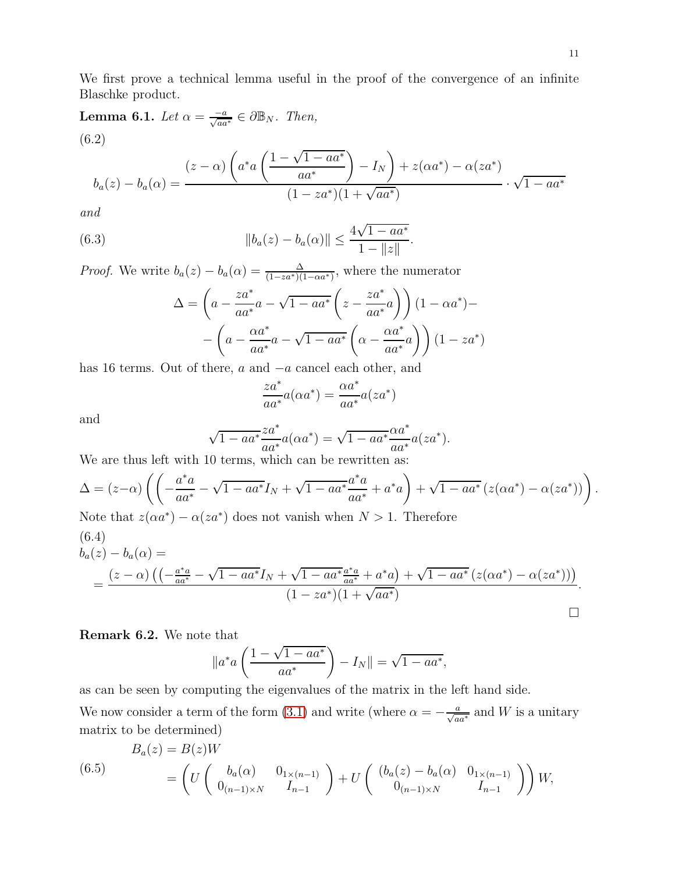We first prove a technical lemma useful in the proof of the convergence of an infinite Blaschke product.

**Lemma 6.1.** Let  $\alpha = \frac{-a}{\sqrt{aa^*}} \in \partial \mathbb{B}_N$ . Then,  $\sqrt{2}$  $\left( \frac{1 - \sqrt{1 - aa^*}}{\sqrt{1 - ae^*}} \right)$ (6.2)

$$
b_a(z) - b_a(\alpha) = \frac{(z - \alpha) \left( a^* a \left( \frac{1 - \sqrt{1 - a a^*}}{a a^*} \right) - I_N \right) + z(\alpha a^*) - \alpha (z a^*)}{(1 - z a^*)(1 + \sqrt{a a^*})} \cdot \sqrt{1 - a a^*}
$$

and

(6.3) 
$$
||b_a(z) - b_a(\alpha)|| \le \frac{4\sqrt{1 - aa^*}}{1 - ||z||}.
$$

*Proof.* We write  $b_a(z) - b_a(\alpha) = \frac{\Delta}{(1 - za^*)(1 - \alpha a^*)}$ , where the numerator

<span id="page-12-0"></span>
$$
\Delta = \left( a - \frac{za^*}{aa^*}a - \sqrt{1 - aa^*} \left( z - \frac{za^*}{aa^*}a \right) \right) (1 - \alpha a^*) -
$$

$$
- \left( a - \frac{\alpha a^*}{aa^*}a - \sqrt{1 - aa^*} \left( \alpha - \frac{\alpha a^*}{aa^*}a \right) \right) (1 - za^*)
$$

has 16 terms. Out of there, a and −a cancel each other, and

$$
\frac{za^*}{aa^*}a(\alpha a^*) = \frac{\alpha a^*}{aa^*}a(za^*)
$$

and

$$
\sqrt{1 - aa^*} \frac{za^*}{aa^*} a(\alpha a^*) = \sqrt{1 - aa^*} \frac{\alpha a^*}{aa^*} a(za^*).
$$

We are thus left with 10 terms, which can be rewritten as:

$$
\Delta = (z-\alpha) \left( \left( -\frac{a^*a}{aa^*} - \sqrt{1 - aa^*}I_N + \sqrt{1 - aa^*} \frac{a^*a}{aa^*} + a^*a \right) + \sqrt{1 - aa^*} (z(\alpha a^*) - \alpha(za^*)) \right).
$$
  
Note that  $z(\alpha a^*) - \alpha(za^*)$  does not vanish when  $N > 1$ . Therefore

$$
(6.4)
$$
\n
$$
b_a(z) - b_a(\alpha) =
$$
\n
$$
= \frac{(z - \alpha) \left( \left( -\frac{a^* a}{a a^*} - \sqrt{1 - a a^*} I_N + \sqrt{1 - a a^*} \frac{a^* a}{a a^*} + a^* a \right) + \sqrt{1 - a a^*} \left( z (\alpha a^*) - \alpha (z a^*) \right) \right)}{(1 - z a^*) (1 + \sqrt{a a^*})}.
$$

Remark 6.2. We note that

$$
\|a^*a\left(\frac{1-\sqrt{1-aa^*}}{aa^*}\right) - I_N\| = \sqrt{1-aa^*},
$$

as can be seen by computing the eigenvalues of the matrix in the left hand side.

We now consider a term of the form [\(3.1\)](#page-5-1) and write (where  $\alpha = -\frac{a}{\sqrt{aa^*}}$  and W is a unitary matrix to be determined)

(6.5)  

$$
B_a(z) = B(z)W
$$
  

$$
= \left( U \begin{pmatrix} b_a(\alpha) & 0_{1 \times (n-1)} \\ 0_{(n-1) \times N} & I_{n-1} \end{pmatrix} + U \begin{pmatrix} (b_a(z) - b_a(\alpha) & 0_{1 \times (n-1)} \\ 0_{(n-1) \times N} & I_{n-1} \end{pmatrix} \right) W,
$$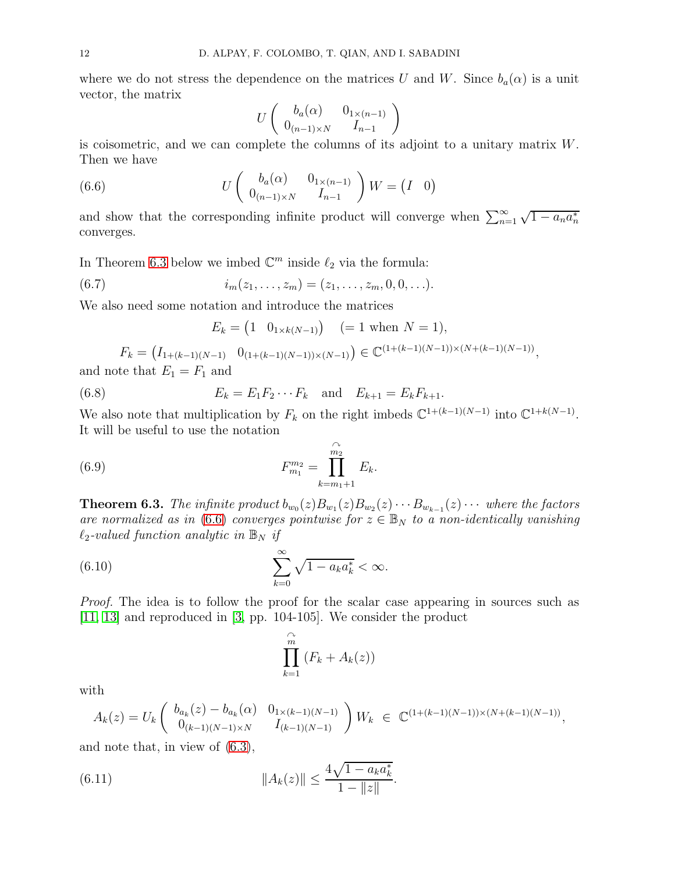where we do not stress the dependence on the matrices U and W. Since  $b_a(\alpha)$  is a unit vector, the matrix

<span id="page-13-1"></span>
$$
U\left(\begin{array}{cc}b_a(\alpha)&0_{1\times(n-1)}\\0_{(n-1)\times N}&I_{n-1}\end{array}\right)
$$

is coisometric, and we can complete the columns of its adjoint to a unitary matrix W. Then we have

(6.6) 
$$
U\begin{pmatrix} b_a(\alpha) & 0_{1\times(n-1)} \\ 0_{(n-1)\times N} & I_{n-1} \end{pmatrix} W = \begin{pmatrix} I & 0 \end{pmatrix}
$$

and show that the corresponding infinite product will converge when  $\sum_{n=1}^{\infty} \sqrt{1 - a_n a_n^*}$ converges.

In Theorem [6.3](#page-13-0) below we imbed  $\mathbb{C}^m$  inside  $\ell_2$  via the formula:

(6.7) 
$$
i_m(z_1,...,z_m) = (z_1,...,z_m,0,0,...).
$$

We also need some notation and introduce the matrices

<span id="page-13-4"></span>
$$
E_k = (1 \ 0_{1 \times k(N-1)}) \quad (= 1 \text{ when } N = 1),
$$

$$
F_k = (I_{1+(k-1)(N-1)} \quad 0_{(1+(k-1)(N-1))\times(N-1)}) \in \mathbb{C}^{(1+(k-1)(N-1))\times(N+(k-1)(N-1))},
$$

and note that  $E_1 = F_1$  and

(6.8) 
$$
E_k = E_1 F_2 \cdots F_k \text{ and } E_{k+1} = E_k F_{k+1}.
$$

We also note that multiplication by  $F_k$  on the right imbeds  $\mathbb{C}^{1+(k-1)(N-1)}$  into  $\mathbb{C}^{1+k(N-1)}$ . It will be useful to use the notation

(6.9) 
$$
F_{m_1}^{m_2} = \prod_{k=m_1+1}^{\widehat{m_2}} E_k.
$$

<span id="page-13-0"></span>**Theorem 6.3.** The infinite product  $b_{w_0}(z)B_{w_1}(z)B_{w_2}(z)\cdots B_{w_{k-1}}(z)\cdots$  where the factors are normalized as in [\(6.6\)](#page-13-1) converges pointwise for  $z \in \mathbb{B}_N$  to a non-identically vanishing  $\ell_2$ -valued function analytic in  $\mathbb{B}_N$  if

(6.10) 
$$
\sum_{k=0}^{\infty} \sqrt{1 - a_k a_k^*} < \infty.
$$

Proof. The idea is to follow the proof for the scalar case appearing in sources such as [\[11,](#page-17-10) [13\]](#page-17-11) and reproduced in [\[3,](#page-16-5) pp. 104-105]. We consider the product

<span id="page-13-3"></span><span id="page-13-2"></span>
$$
\prod_{k=1}^{\widehat{m}} (F_k + A_k(z))
$$

with

$$
A_k(z) = U_k \begin{pmatrix} b_{a_k}(z) - b_{a_k}(\alpha) & 0_{1 \times (k-1)(N-1)} \\ 0_{(k-1)(N-1) \times N} & I_{(k-1)(N-1)} \end{pmatrix} W_k \in \mathbb{C}^{(1 + (k-1)(N-1)) \times (N + (k-1)(N-1))},
$$

and note that, in view of [\(6.3\)](#page-12-0),

(6.11) 
$$
||A_k(z)|| \leq \frac{4\sqrt{1 - a_k a_k^*}}{1 - ||z||}.
$$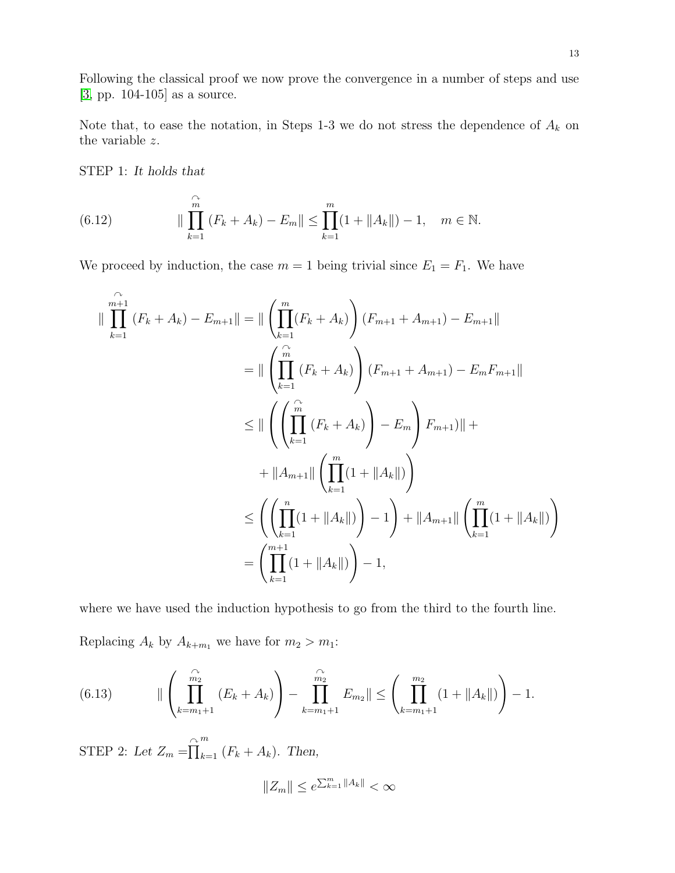Following the classical proof we now prove the convergence in a number of steps and use [\[3,](#page-16-5) pp. 104-105] as a source.

Note that, to ease the notation, in Steps 1-3 we do not stress the dependence of  $A_k$  on the variable z.

STEP 1: *It holds that*

<span id="page-14-1"></span>(6.12) 
$$
\|\prod_{k=1}^{\widehat{m}} (F_k + A_k) - E_m\| \le \prod_{k=1}^m (1 + \|A_k\|) - 1, \quad m \in \mathbb{N}.
$$

We proceed by induction, the case  $m = 1$  being trivial since  $E_1 = F_1$ . We have

$$
\|\prod_{k=1}^{m+1} (F_k + A_k) - E_{m+1}\| = \|\left(\prod_{k=1}^{m} (F_k + A_k)\right) (F_{m+1} + A_{m+1}) - E_{m+1}\|
$$
  
\n
$$
= \|\left(\prod_{k=1}^{\widehat{m}} (F_k + A_k)\right) (F_{m+1} + A_{m+1}) - E_m F_{m+1}\|
$$
  
\n
$$
\leq \|\left(\left(\prod_{k=1}^{\widehat{m}} (F_k + A_k)\right) - E_m\right) F_{m+1}\| +
$$
  
\n
$$
+ \|A_{m+1}\| \left(\prod_{k=1}^{m} (1 + \|A_k\|)\right)
$$
  
\n
$$
\leq \left(\left(\prod_{k=1}^{n} (1 + \|A_k\|)\right) - 1\right) + \|A_{m+1}\| \left(\prod_{k=1}^{m} (1 + \|A_k\|)\right)
$$
  
\n
$$
= \left(\prod_{k=1}^{m+1} (1 + \|A_k\|)\right) - 1,
$$

where we have used the induction hypothesis to go from the third to the fourth line. Replacing  $A_k$  by  $A_{k+m_1}$  we have for  $m_2 > m_1$ :

<span id="page-14-0"></span>(6.13) 
$$
\|\left(\prod_{k=m_1+1}^{\widehat{m_2}}(E_k+A_k)\right)-\prod_{k=m_1+1}^{\widehat{m_2}}E_{m_2}\|\leq \left(\prod_{k=m_1+1}^{m_2}(1+\|A_k\|)\right)-1.
$$

STEP 2: Let  $Z_m = \prod_{k=1}^{\infty} (F_k + A_k)$ . Then,

$$
||Z_m|| \le e^{\sum_{k=1}^m ||A_k||} < \infty
$$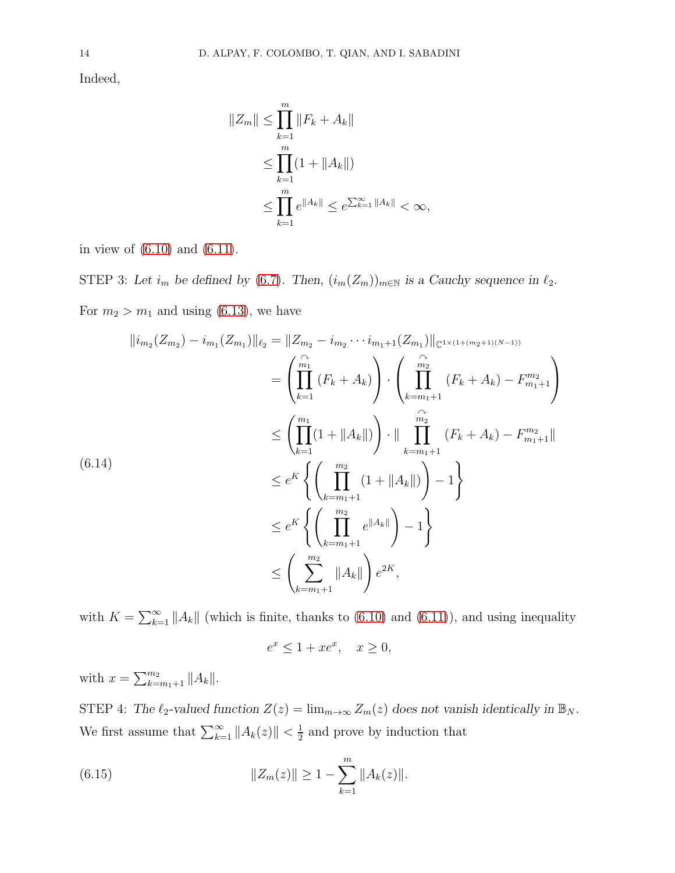Indeed,

$$
||Z_m|| \le \prod_{k=1}^m ||F_k + A_k||
$$
  
\n
$$
\le \prod_{k=1}^m (1 + ||A_k||)
$$
  
\n
$$
\le \prod_{k=1}^m e^{||A_k||} \le e^{\sum_{k=1}^\infty ||A_k||} < \infty,
$$

in view of [\(6.10\)](#page-13-2) and [\(6.11\)](#page-13-3).

STEP 3: Let  $i_m$  be defined by [\(6.7\)](#page-13-4). Then,  $(i_m(Z_m))_{m\in\mathbb{N}}$  is a Cauchy sequence in  $\ell_2$ . For  $m_2 > m_1$  and using [\(6.13\)](#page-14-0), we have

<span id="page-15-1"></span>
$$
\|i_{m_2}(Z_{m_2}) - i_{m_1}(Z_{m_1})\|_{\ell_2} = \|Z_{m_2} - i_{m_2} \cdots i_{m_1+1}(Z_{m_1})\|_{\mathbb{C}^{1 \times (1 + (m_2 + 1)(N-1))}}
$$
  
\n
$$
= \left(\prod_{k=1}^{\widehat{m_1}} (F_k + A_k)\right) \cdot \left(\prod_{k=m_1+1}^{\widehat{m_2}} (F_k + A_k) - F_{m_1+1}^{m_2}\right)
$$
  
\n
$$
\leq \left(\prod_{k=1}^{m_1} (1 + \|A_k\|)\right) \cdot \|\prod_{k=m_1+1}^{\widehat{m_2}} (F_k + A_k) - F_{m_1+1}^{m_2}\|
$$
  
\n(6.14)  
\n
$$
\leq e^K \left\{ \left(\prod_{k=m_1+1}^{m_2} (1 + \|A_k\|)\right) - 1 \right\}
$$
  
\n
$$
\leq e^K \left\{ \left(\prod_{k=m_1+1}^{m_2} e^{\|A_k\|}\right) - 1 \right\}
$$
  
\n
$$
\leq \left(\sum_{k=m_1+1}^{m_2} \|A_k\|\right) e^{2K},
$$

with  $K = \sum_{k=1}^{\infty} ||A_k||$  (which is finite, thanks to [\(6.10\)](#page-13-2) and [\(6.11\)](#page-13-3)), and using inequality  $e^x \le 1 + xe^x$ ,  $x \ge 0$ ,

with  $x = \sum_{k=m_1+1}^{m_2} ||A_k||$ .

STEP 4: *The*  $\ell_2$ -valued function  $Z(z) = \lim_{m \to \infty} Z_m(z)$  does not vanish identically in  $\mathbb{B}_N$ . We first assume that  $\sum_{k=1}^{\infty} ||A_k(z)|| < \frac{1}{2}$  $\frac{1}{2}$  and prove by induction that

<span id="page-15-0"></span>(6.15) 
$$
||Z_m(z)|| \geq 1 - \sum_{k=1}^m ||A_k(z)||.
$$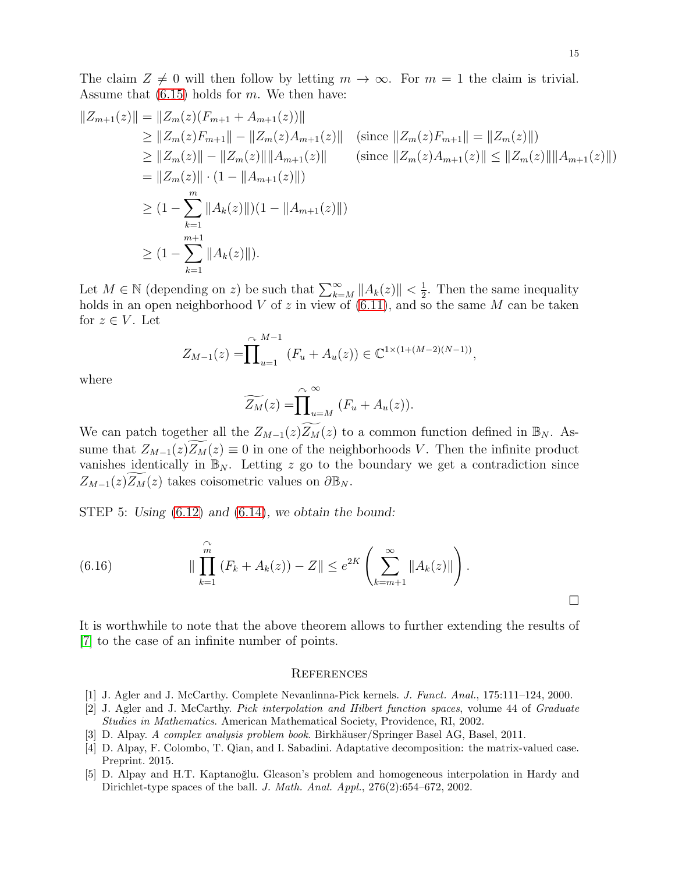$$
||Z_{m+1}(z)|| = ||Z_m(z)(F_{m+1} + A_{m+1}(z))||
$$
  
\n
$$
\ge ||Z_m(z)F_{m+1}|| - ||Z_m(z)A_{m+1}(z)|| \text{ (since } ||Z_m(z)F_{m+1}|| = ||Z_m(z)||)
$$
  
\n
$$
\ge ||Z_m(z)|| - ||Z_m(z)|| ||A_{m+1}(z)|| \text{ (since } ||Z_m(z)A_{m+1}(z)|| \le ||Z_m(z)|| ||A_{m+1}(z)||)
$$
  
\n
$$
= ||Z_m(z)|| \cdot (1 - ||A_{m+1}(z)||)
$$
  
\n
$$
\ge (1 - \sum_{k=1}^m ||A_k(z)||)(1 - ||A_{m+1}(z)||)
$$
  
\n
$$
\ge (1 - \sum_{k=1}^{m+1} ||A_k(z)||).
$$

Let  $M \in \mathbb{N}$  (depending on z) be such that  $\sum_{k=M}^{\infty} ||A_k(z)|| < \frac{1}{2}$  $\frac{1}{2}$ . Then the same inequality holds in an open neighborhood V of z in view of  $(6.11)$ , and so the same M can be taken for  $z \in V$ . Let

$$
Z_{M-1}(z) = \prod_{u=1}^{\curvearrowright M-1} (F_u + A_u(z)) \in \mathbb{C}^{1 \times (1 + (M-2)(N-1))},
$$

where

$$
\widetilde{Z_M}(z) = \prod_{u=M}^{\curvearrowright} (F_u + A_u(z)).
$$

We can patch together all the  $Z_{M-1}(z)Z_M(z)$  to a common function defined in  $\mathbb{B}_N$ . Assume that  $Z_{M-1}(z)Z_M(z) \equiv 0$  in one of the neighborhoods V. Then the infinite product vanishes identically in  $\mathbb{B}_N$ . Letting z go to the boundary we get a contradiction since  $Z_{M-1}(z)Z_M(z)$  takes coisometric values on  $\partial\mathbb{B}_N$ .

STEP 5: *Using* [\(6.12\)](#page-14-1) *and* [\(6.14\)](#page-15-1)*, we obtain the bound:*

(6.16) 
$$
\|\prod_{k=1}^{\widehat{m}} (F_k + A_k(z)) - Z\| \le e^{2K} \left(\sum_{k=m+1}^{\infty} \|A_k(z)\|\right).
$$

It is worthwhile to note that the above theorem allows to further extending the results of [\[7\]](#page-17-6) to the case of an infinite number of points.

#### <span id="page-16-0"></span>**REFERENCES**

- <span id="page-16-3"></span><span id="page-16-2"></span>[1] J. Agler and J. McCarthy. Complete Nevanlinna-Pick kernels. *J. Funct. Anal.*, 175:111–124, 2000.
- [2] J. Agler and J. McCarthy. *Pick interpolation and Hilbert function spaces*, volume 44 of *Graduate Studies in Mathematics*. American Mathematical Society, Providence, RI, 2002.
- <span id="page-16-5"></span><span id="page-16-1"></span>[3] D. Alpay. *A complex analysis problem book*. Birkh¨auser/Springer Basel AG, Basel, 2011.
- [4] D. Alpay, F. Colombo, T. Qian, and I. Sabadini. Adaptative decomposition: the matrix-valued case. Preprint. 2015.
- <span id="page-16-4"></span>[5] D. Alpay and H.T. Kaptanoğlu. Gleason's problem and homogeneous interpolation in Hardy and Dirichlet-type spaces of the ball. *J. Math. Anal. Appl.*, 276(2):654–672, 2002.